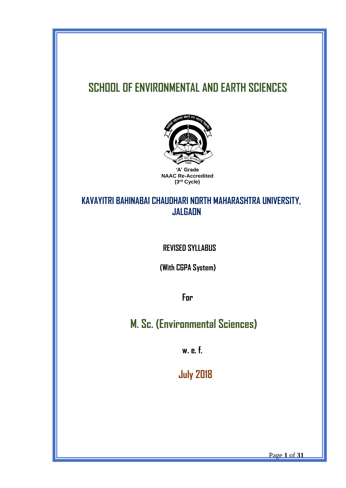# **SCHOOL OF ENVIRONMENTAL AND EARTH SCIENCES**



## **KAVAYITRI BAHINABAI CHAUDHARI NORTH MAHARASHTRA UNIVERSITY, JALGAON**

 **REVISED SYLLABUS**

 **(With CGPA System)**

 **For**

 **M. Sc. (Environmental Sciences)**

 **w. e. f.**

 **July 2018**

Page **1** of **31**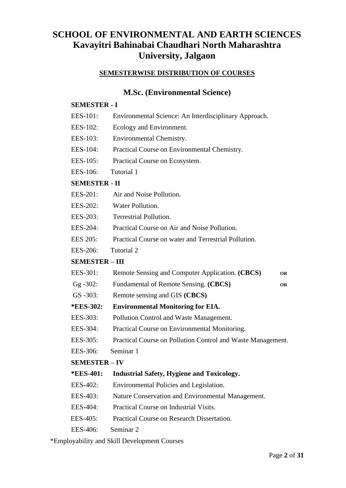## **SCHOOL OF ENVIRONMENTAL AND EARTH SCIENCES Kavayitri Bahinabai Chaudhari North Maharashtra University, Jalgaon**

#### **SEMESTERWISE DISTRIBUTION OF COURSES**

## **M.Sc. (Environmental Science)**

#### **SEMESTER - I**

- EES-101: Environmental Science: An Interdisciplinary Approach.
- EES-102: Ecology and Environment.
- EES-103: Environmental Chemistry.
- EES-104: Practical Course on Environmental Chemistry.
- EES-105: Practical Course on Ecosystem.
- EES-106: Tutorial 1

### **SEMESTER - II**

- EES-201: Air and Noise Pollution.
- EES-202: Water Pollution.
- EES-203: Terrestrial Pollution.
- EES-204: Practical Course on Air and Noise Pollution.
- EES 205: Practical Course on water and Terrestrial Pollution.
- EES-206: Tutorial 2

#### **SEMESTER – III**

- EES-301: Remote Sensing and Computer Application. **(CBCS) OR**
- Gg -302: Fundamental of Remote Sensing. **(CBCS) OR**
- GS -303: Remote sensing and GIS **(CBCS)**

#### **\*EES-302: Environmental Monitoring for EIA.**

- EES-303: Pollution Control and Waste Management.
- EES-304: Practical Course on Environmental Monitoring.
- EES-305: Practical Course on Pollution Control and Waste Management.
- EES-306: Seminar 1

## **SEMESTER – IV**

## **\*EES-401: Industrial Safety, Hygiene and Toxicology.**

- EES-402: Environmental Policies and Legislation.
- EES-403: Nature Conservation and Environmental Management.
- EES-404: Practical Course on Industrial Visits.
- EES-405: Practical Course on Research Dissertation.
- EES-406: Seminar 2

\*Employability and Skill Development Courses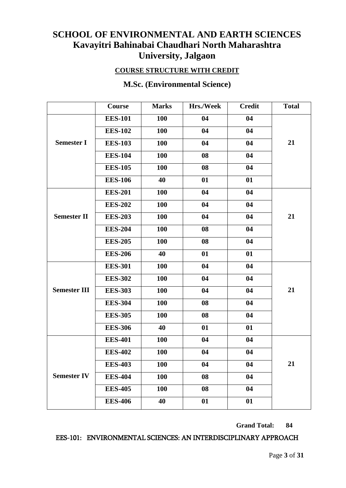## **SCHOOL OF ENVIRONMENTAL AND EARTH SCIENCES Kavayitri Bahinabai Chaudhari North Maharashtra University, Jalgaon**

## **COURSE STRUCTURE WITH CREDIT**

|                     | Course         | <b>Marks</b> | Hrs./Week | <b>Credit</b> | <b>Total</b> |
|---------------------|----------------|--------------|-----------|---------------|--------------|
|                     | <b>EES-101</b> | <b>100</b>   | 04        | 04            |              |
|                     | <b>EES-102</b> | 100          | 04        | 04            |              |
| <b>Semester I</b>   | <b>EES-103</b> | <b>100</b>   | 04        | 04            | 21           |
|                     | <b>EES-104</b> | 100          | 08        | 04            |              |
|                     | <b>EES-105</b> | 100          | 08        | 04            |              |
|                     | <b>EES-106</b> | 40           | 01        | 01            |              |
|                     | <b>EES-201</b> | 100          | 04        | 04            |              |
|                     | <b>EES-202</b> | 100          | 04        | 04            |              |
| <b>Semester II</b>  | <b>EES-203</b> | 100          | 04        | 04            | 21           |
|                     | <b>EES-204</b> | <b>100</b>   | 08        | 04            |              |
|                     | <b>EES-205</b> | <b>100</b>   | 08        | 04            |              |
|                     | <b>EES-206</b> | 40           | 01        | 01            |              |
|                     | <b>EES-301</b> | 100          | 04        | 04            |              |
|                     | <b>EES-302</b> | 100          | 04        | 04            |              |
| <b>Semester III</b> | <b>EES-303</b> | <b>100</b>   | 04        | 04            | 21           |
|                     | <b>EES-304</b> | <b>100</b>   | 08        | 04            |              |
|                     | <b>EES-305</b> | 100          | 08        | 04            |              |
|                     | <b>EES-306</b> | 40           | 01        | 01            |              |
|                     | <b>EES-401</b> | 100          | 04        | 04            |              |
|                     | <b>EES-402</b> | 100          | 04        | 04            |              |
|                     | <b>EES-403</b> | 100          | 04        | 04            | 21           |
| <b>Semester IV</b>  | <b>EES-404</b> | <b>100</b>   | 08        | 04            |              |
|                     | <b>EES-405</b> | 100          | 08        | 04            |              |
|                     | <b>EES-406</b> | 40           | 01        | 01            |              |

## **M.Sc. (Environmental Science)**

#### **Grand Total: 84**

### EES-101: ENVIRONMENTAL SCIENCES: AN INTERDISCIPLINARY APPROACH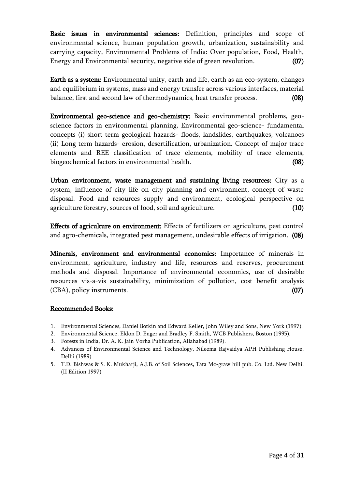Basic issues in environmental sciences: Definition, principles and scope of environmental science, human population growth, urbanization, sustainability and carrying capacity, Environmental Problems of India: Over population, Food, Health, Energy and Environmental security, negative side of green revolution. (07)

Earth as a system: Environmental unity, earth and life, earth as an eco-system, changes and equilibrium in systems, mass and energy transfer across various interfaces, material balance, first and second law of thermodynamics, heat transfer process. (08)

Environmental geo-science and geo-chemistry: Basic environmental problems, geoscience factors in environmental planning, Environmental geo-science- fundamental concepts (i) short term geological hazards- floods, landslides, earthquakes, volcanoes (ii) Long term hazards- erosion, desertification, urbanization. Concept of major trace elements and REE classification of trace elements, mobility of trace elements, biogeochemical factors in environmental health. (08)

Urban environment, waste management and sustaining living resources: City as a system, influence of city life on city planning and environment, concept of waste disposal. Food and resources supply and environment, ecological perspective on agriculture forestry, sources of food, soil and agriculture. (10)

Effects of agriculture on environment: Effects of fertilizers on agriculture, pest control and agro-chemicals, integrated pest management, undesirable effects of irrigation. (08)

Minerals, environment and environmental economics: Importance of minerals in environment, agriculture, industry and life, resources and reserves, procurement methods and disposal. Importance of environmental economics, use of desirable resources vis-a-vis sustainability, minimization of pollution, cost benefit analysis (CBA), policy instruments. (07)

- 1. Environmental Sciences, Daniel Botkin and Edward Keller, John Wiley and Sons, New York (1997).
- 2. Environmental Science, Eldon D. Enger and Bradley F. Smith, WCB Publishers, Boston (1995).
- 3. Forests in India, Dr. A. K. Jain Vorha Publication, Allahabad (1989).
- 4. Advances of Environmental Science and Technology, Nileema Rajvaidya APH Publishing House, Delhi (1989)
- 5. T.D. Bishwas & S. K. Mukharji, A.J.B. of Soil Sciences, Tata Mc-graw hill pub. Co. Ltd. New Delhi. (II Edition 1997)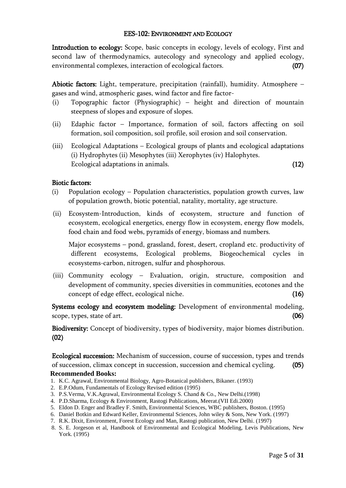#### EES-102: ENVIRONMENT AND ECOLOGY

Introduction to ecology: Scope, basic concepts in ecology, levels of ecology, First and second law of thermodynamics, autecology and synecology and applied ecology, environmental complexes, interaction of ecological factors. (07)

Abiotic factors: Light, temperature, precipitation (rainfall), humidity. Atmosphere – gases and wind, atmospheric gases, wind factor and fire factor-

- (i) Topographic factor (Physiographic) height and direction of mountain steepness of slopes and exposure of slopes.
- (ii) Edaphic factor Importance, formation of soil, factors affecting on soil formation, soil composition, soil profile, soil erosion and soil conservation.
- (iii) Ecological Adaptations Ecological groups of plants and ecological adaptations (i) Hydrophytes (ii) Mesophytes (iii) Xerophytes (iv) Halophytes. Ecological adaptations in animals. (12)

#### Biotic factors:

- (i) Population ecology Population characteristics, population growth curves, law of population growth, biotic potential, natality, mortality, age structure.
- (ii) Ecosystem-Introduction, kinds of ecosystem, structure and function of ecosystem, ecological energetics, energy flow in ecosystem, energy flow models, food chain and food webs, pyramids of energy, biomass and numbers.

Major ecosystems – pond, grassland, forest, desert, cropland etc. productivity of different ecosystems, Ecological problems, Biogeochemical cycles in ecosystems-carbon, nitrogen, sulfur and phosphorous.

(iii) Community ecology – Evaluation, origin, structure, composition and development of community, species diversities in communities, ecotones and the concept of edge effect, ecological niche. (16)

Systems ecology and ecosystem modeling: Development of environmental modeling, scope, types, state of art. (06)

Biodiversity: Concept of biodiversity, types of biodiversity, major biomes distribution. (02)

Ecological succession: Mechanism of succession, course of succession, types and trends of succession, climax concept in succession, succession and chemical cycling. (05) **Recommended Books:**

- 1. K.C. Agrawal, Environmental Biology, Agro-Botanical publishers, Bikaner. (1993)
- 2. E.P.Odum, Fundamentals of Ecology Revised edition (1995)
- 3. P.S.Verma, V.K.Agrawal, Environmental Ecology S. Chand & Co., New Delhi.(1998)
- 4. P.D.Sharma, Ecology & Environment, Rastogi Publications, Meerat.(VII Edi.2000)
- 5. Eldon D. Enger and Bradley F. Smith, Environmental Sciences, WBC publishers, Boston. (1995)
- 6. Daniel Botkin and Edward Keller, Environmental Sciences, John wiley & Sons, New York. (1997)
- 7. R.K. Dixit, Environment, Forest Ecology and Man, Rastogi publication, New Delhi. (1997)
- 8. S. E. Jorgeson et al, Handbook of Environmental and Ecological Modeling, Levis Publications, New York. (1995)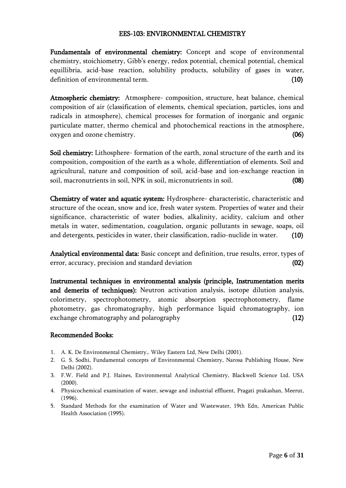#### EES-103: ENVIRONMENTAL CHEMISTRY

Fundamentals of environmental chemistry: Concept and scope of environmental chemistry, stoichiometry, Gibb's energy, redox potential, chemical potential, chemical equillibria, acid-base reaction, solubility products, solubility of gases in water, definition of environmental term. (10)

Atmospheric chemistry: Atmosphere- composition, structure, heat balance, chemical composition of air (classification of elements, chemical speciation, particles, ions and radicals in atmosphere), chemical processes for formation of inorganic and organic particulate matter, thermo chemical and photochemical reactions in the atmosphere, oxygen and ozone chemistry. (06)

Soil chemistry: Lithosphere- formation of the earth, zonal structure of the earth and its composition, composition of the earth as a whole, differentiation of elements. Soil and agricultural, nature and composition of soil, acid-base and ion-exchange reaction in soil, macronutrients in soil, NPK in soil, micronutrients in soil. (08)

Chemistry of water and aquatic system: Hydrosphere- characteristic, characteristic and structure of the ocean, snow and ice, fresh water system. Properties of water and their significance, characteristic of water bodies, alkalinity, acidity, calcium and other metals in water, sedimentation, coagulation, organic pollutants in sewage, soaps, oil and detergents, pesticides in water, their classification, radio-nuclide in water. (10)

Analytical environmental data: Basic concept and definition, true results, error, types of error, accuracy, precision and standard deviation (02)

Instrumental techniques in environmental analysis (principle, Instrumentation merits and demerits of techniques): Neutron activation analysis, isotope dilution analysis, colorimetry, spectrophotometry, atomic absorption spectrophotometry, flame photometry, gas chromatography, high performance liquid chromatography, ion exchange chromatography and polarography (12)

- 1. A. K. De Environmental Chemistry,. Wiley Eastern Ltd, New Delhi (2001).
- 2. G. S. Sodhi, Fundamental concepts of Environmental Chemistry, Narosa Publishing House, New Delhi (2002).
- 3. F.W. Field and P.J. Haines, Environmental Analytical Chemistry, Blackwell Science Ltd. USA (2000).
- 4. Physicochemical examination of water, sewage and industrial effluent, Pragati prakashan, Meerut, (1996).
- 5. Standard Methods for the examination of Water and Wastewater, 19th Edn, American Public Health Association (1995).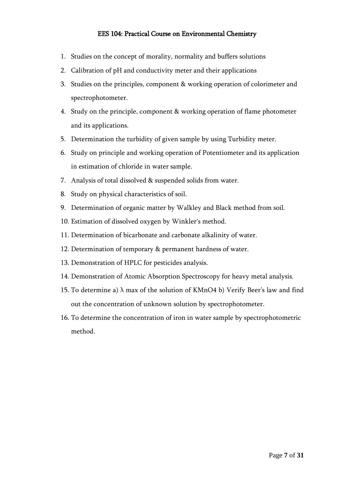#### EES 104: Practical Course on Environmental Chemistry

- 1. Studies on the concept of morality, normality and buffers solutions
- 2. Calibration of pH and conductivity meter and their applications
- 3. Studies on the principles, component & working operation of colorimeter and spectrophotometer.
- 4. Study on the principle, component & working operation of flame photometer and its applications.
- 5. Determination the turbidity of given sample by using Turbidity meter.
- 6. Study on principle and working operation of Potentiometer and its application in estimation of chloride in water sample.
- 7. Analysis of total dissolved & suspended solids from water.
- 8. Study on physical characteristics of soil.
- 9. Determination of organic matter by Walkley and Black method from soil.
- 10. Estimation of dissolved oxygen by Winkler's method.
- 11. Determination of bicarbonate and carbonate alkalinity of water.
- 12. Determination of temporary & permanent hardness of water.
- 13. Demonstration of HPLC for pesticides analysis.
- 14. Demonstration of Atomic Absorption Spectroscopy for heavy metal analysis.
- 15. To determine a)  $\lambda$  max of the solution of KMnO4 b) Verify Beer's law and find out the concentration of unknown solution by spectrophotometer.
- 16. To determine the concentration of iron in water sample by spectrophotometric method.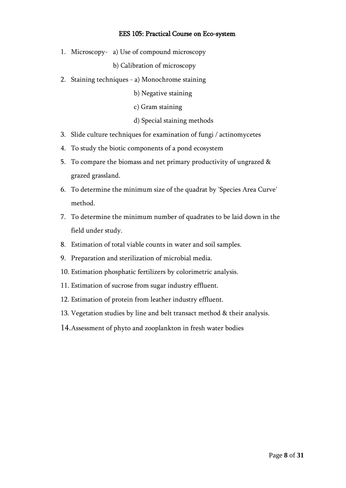#### EES 105: Practical Course on Eco-system

1. Microscopy- a) Use of compound microscopy

b) Calibration of microscopy

- 2. Staining techniques a) Monochrome staining
	- b) Negative staining
	- c) Gram staining

#### d) Special staining methods

- 3. Slide culture techniques for examination of fungi / actinomycetes
- 4. To study the biotic components of a pond ecosystem
- 5. To compare the biomass and net primary productivity of ungrazed & grazed grassland.
- 6. To determine the minimum size of the quadrat by 'Species Area Curve' method.
- 7. To determine the minimum number of quadrates to be laid down in the field under study.
- 8. Estimation of total viable counts in water and soil samples.
- 9. Preparation and sterilization of microbial media.
- 10. Estimation phosphatic fertilizers by colorimetric analysis.
- 11. Estimation of sucrose from sugar industry effluent.
- 12. Estimation of protein from leather industry effluent.
- 13. Vegetation studies by line and belt transact method & their analysis.
- 14.Assessment of phyto and zooplankton in fresh water bodies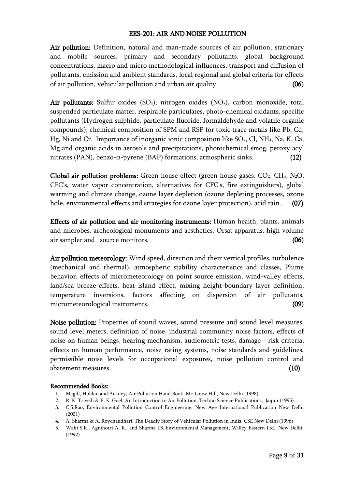#### EES-201: AIR AND NOISE POLLUTION

Air pollution: Definition, natural and man-made sources of air pollution, stationary and mobile sources, primary and secondary pollutants, global background concentrations, macro and micro methodological influences, transport and diffusion of pollutants, emission and ambient standards, local regional and global criteria for effects of air pollution, vehicular pollution and urban air quality. (06)

Air pollutants: Sulfur oxides  $(SO_x)$ ; nitrogen oxides  $(NO_x)$ , carbon monoxide, total suspended particulate matter, respirable particulates, photo-chemical oxidants, specific pollutants (Hydrogen sulphide, particulate fluoride, formaldehyde and volatile organic compounds), chemical composition of SPM and RSP for toxic trace metals like Pb, Cd, Hg, Ni and Cr. Importance of inorganic ionic composition like SO4, Cl, NH4, Na, K, Ca, Mg and organic acids in aerosols and precipitations, photochemical smog, peroxy acyl nitrates (PAN), benzo- $\alpha$ -pyrene (BAP) formations, atmospheric sinks. (12)

Global air pollution problems: Green house effect (green house gases:  $CO<sub>2</sub>$ ,  $CH<sub>4</sub>$ , N<sub>2</sub>O, CFC's, water vapor concentration, alternatives for CFC's, fire extinguishers), global warming and climate change, ozone layer depletion (ozone depleting processes, ozone hole, environmental effects and strategies for ozone layer protection), acid rain. (07)

Effects of air pollution and air monitoring instruments: Human health, plants, animals and microbes, archeological monuments and aesthetics, Orsat apparatus, high volume air sampler and source monitors. (06)

Air pollution meteorology: Wind speed, direction and their vertical profiles, turbulence (mechanical and thermal), atmospheric stability characteristics and classes, Plume behavior, effects of micrometeorology on point source emission, wind-valley effects, land/sea breeze-effects, heat island effect, mixing height-boundary layer definition, temperature inversions, factors affecting on dispersion of air pollutants, micrometeorological instruments. (09)

Noise pollution: Properties of sound waves, sound pressure and sound level measures, sound level meters, definition of noise, industrial community noise factors, effects of noise on human beings, hearing mechanism, audiometric tests, damage - risk criteria, effects on human performance, noise rating systems, noise standards and guidelines, permissible noise levels for occupational exposures, noise pollution control and abatement measures. (10)

- 1. Magill, Holden and Ackdey, Air Pollution Hand Book, Mc-Graw Hill, New Delhi (1998)
- 2. R. K. Trivedi & P. K. Goel, An Introduction to Air Pollution, Techno Science Publications, Jaipur (1995)
- 3. C.S.Rao, Environmental Pollution Control Engineering, New Age International Publication New Delhi (2001)
- 4. A. Sharma & A. Roychaudhari, The Deadly Story of Vehicular Pollution in India, CSE New Delhi (1996)
- 5. Wahi S.K., Agnihotri A. K., and Sharma J.S.,Environmental Management, Willey Eastern Ltd., New Delhi. (1992)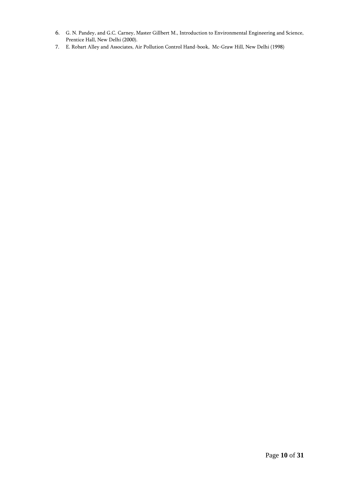- 6. G. N. Pandey, and G.C. Carney, Master Gillbert M., Introduction to Environmental Engineering and Science, Prentice Hall, New Delhi (2000).
- 7. E. Robart Alley and Associates, Air Pollution Control Hand-book, Mc-Graw Hill, New Delhi (1998)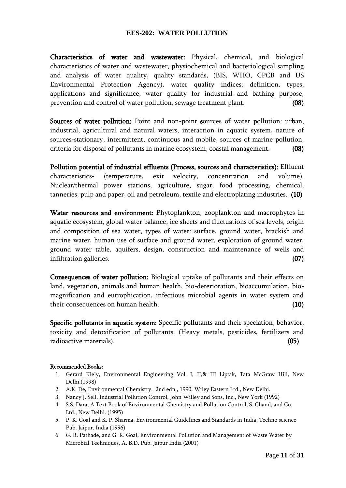#### **EES-202: WATER POLLUTION**

Characteristics of water and wastewater: Physical, chemical, and biological characteristics of water and wastewater, physiochemical and bacteriological sampling and analysis of water quality, quality standards, (BIS, WHO, CPCB and US Environmental Protection Agency), water quality indices: definition, types, applications and significance, water quality for industrial and bathing purpose, prevention and control of water pollution, sewage treatment plant. (08)

Sources of water pollution: Point and non-point sources of water pollution: urban, industrial, agricultural and natural waters, interaction in aquatic system, nature of sources-stationary, intermittent, continuous and mobile, sources of marine pollution, criteria for disposal of pollutants in marine ecosystem, coastal management. (08)

Pollution potential of industrial effluents (Process, sources and characteristics): Effluent characteristics- (temperature, exit velocity, concentration and volume). Nuclear/thermal power stations, agriculture, sugar, food processing, chemical, tanneries, pulp and paper, oil and petroleum, textile and electroplating industries. (10)

Water resources and environment: Phytoplankton, zooplankton and macrophytes in aquatic ecosystem, global water balance, ice sheets and fluctuations of sea levels, origin and composition of sea water, types of water: surface, ground water, brackish and marine water, human use of surface and ground water, exploration of ground water, ground water table, aquifers, design, construction and maintenance of wells and infiltration galleries. (07)

Consequences of water pollution: Biological uptake of pollutants and their effects on land, vegetation, animals and human health, bio-deterioration, bioaccumulation, biomagnification and eutrophication, infectious microbial agents in water system and their consequences on human health. (10)

Specific pollutants in aquatic system: Specific pollutants and their speciation, behavior, toxicity and detoxification of pollutants. (Heavy metals, pesticides, fertilizers and radioactive materials). (05)

- 1. Gerard Kiely, Environmental Engineering Vol. I, II,& III Liptak, Tata McGraw Hill, New Delhi.(1998)
- 2. A.K. De, Environmental Chemistry. 2nd edn., 1990, Wiley Eastern Ltd., New Delhi.
- 3. Nancy J. Sell, Industrial Pollution Control, John Willey and Sons, Inc., New York (1992)
- 4. S.S. Dara, A Text Book of Environmental Chemistry and Pollution Control, S. Chand, and Co. Ltd., New Delhi. (1995)
- 5. P. K. Goal and K. P. Sharma, Environmental Guidelines and Standards in India, Techno science Pub. Jaipur, India (1996)
- 6. G. R. Pathade, and G. K. Goal, Environmental Pollution and Management of Waste Water by Microbial Techniques, A. B.D. Pub. Jaipur India (2001)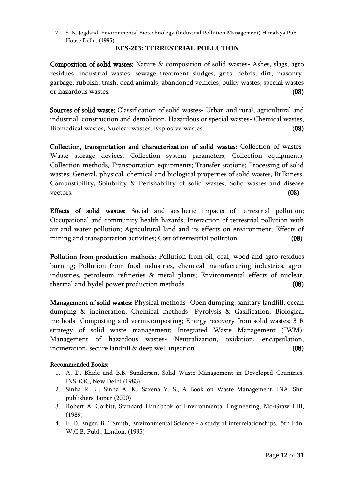7. S. N. Jogdand, Environmental Biotechnology (Industrial Pollution Management) Himalaya Pub. House Delhi. (1995)

#### **EES-203: TERRESTRIAL POLLUTION**

Composition of solid wastes: Nature & composition of solid wastes- Ashes, slags, agro residues, industrial wastes, sewage treatment sludges, grits, debris, dirt, masonry, garbage, rubbish, trash, dead animals, abandoned vehicles, bulky wastes, special wastes or hazardous wastes. (08)

Sources of solid waste: Classification of solid wastes- Urban and rural, agricultural and industrial, construction and demolition, Hazardous or special wastes- Chemical wastes, Biomedical wastes, Nuclear wastes, Explosive wastes. (08)

Collection, transportation and characterization of solid wastes: Collection of wastes-Waste storage devices, Collection system parameters, Collection equipments, Collection methods, Transportation equipments; Transfer stations; Processing of solid wastes; General, physical, chemical and biological properties of solid wastes, Bulkiness, Combustibility, Solubility & Perishability of solid wastes; Solid wastes and disease vectors.  $(08)$ 

Effects of solid wastes: Social and aesthetic impacts of terrestrial pollution; Occupational and community health hazards; Interaction of terrestrial pollution with air and water pollution; Agricultural land and its effects on environment; Effects of mining and transportation activities; Cost of terrestrial pollution. (08)

Pollution from production methods: Pollution from oil, coal, wood and agro-residues burning; Pollution from food industries, chemical manufacturing industries, agroindustries, petroleum refineries & metal plants; Environmental effects of nuclear, thermal and hydel power production methods. (08)

Management of solid wastes: Physical methods- Open dumping, sanitary landfill, ocean dumping & incineration; Chemical methods- Pyrolysis & Gasification; Biological methods- Composting and vermicomposting; Energy recovery from solid wastes; 3-R strategy of solid waste management; Integrated Waste Management (IWM); Management of hazardous wastes- Neutralization, oxidation, encapsulation, incineration, secure landfill & deep well injection. (08)

- 1. A. D. Bhide and B.B. Sundersen, Solid Waste Management in Developed Countries, INSDOC, New Delhi (1983)
- 2. Sinha R. K., Sinha A. K., Saxena V. S., A Book on Waste Management, INA, Shri publishers, Jaipur (2000)
- 3. Robert A. Corbitt, Standard Handbook of Environmental Engineering, Mc-Graw Hill, (1989)
- 4. E. D. Enger, B.F. Smith, Environmental Science a study of interrelationships. 5th Edn. W.C.B. Publ., London. (1995)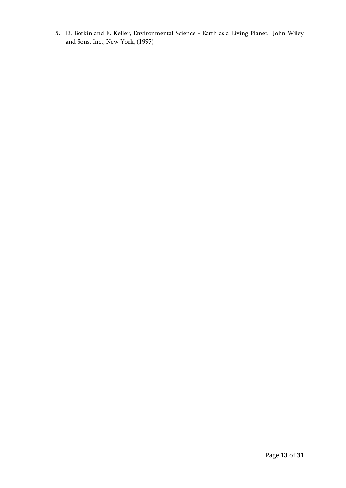5. D. Botkin and E. Keller, Environmental Science - Earth as a Living Planet. John Wiley and Sons, Inc., New York, (1997)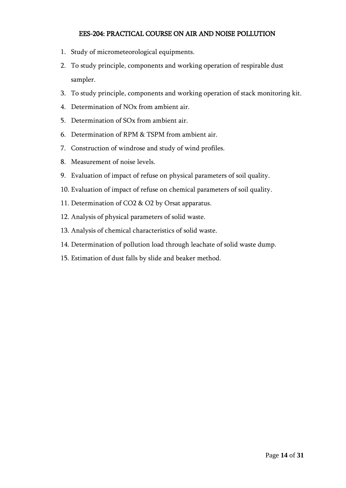### EES-204: PRACTICAL COURSE ON AIR AND NOISE POLLUTION

- 1. Study of micrometeorological equipments.
- 2. To study principle, components and working operation of respirable dust sampler.
- 3. To study principle, components and working operation of stack monitoring kit.
- 4. Determination of NOx from ambient air.
- 5. Determination of SOx from ambient air.
- 6. Determination of RPM & TSPM from ambient air.
- 7. Construction of windrose and study of wind profiles.
- 8. Measurement of noise levels.
- 9. Evaluation of impact of refuse on physical parameters of soil quality.
- 10. Evaluation of impact of refuse on chemical parameters of soil quality.
- 11. Determination of CO2 & O2 by Orsat apparatus.
- 12. Analysis of physical parameters of solid waste.
- 13. Analysis of chemical characteristics of solid waste.
- 14. Determination of pollution load through leachate of solid waste dump.
- 15. Estimation of dust falls by slide and beaker method.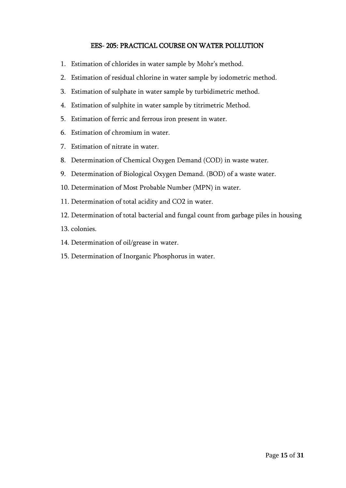#### EES- 205: PRACTICAL COURSE ON WATER POLLUTION

- 1. Estimation of chlorides in water sample by Mohr's method.
- 2. Estimation of residual chlorine in water sample by iodometric method.
- 3. Estimation of sulphate in water sample by turbidimetric method.
- 4. Estimation of sulphite in water sample by titrimetric Method.
- 5. Estimation of ferric and ferrous iron present in water.
- 6. Estimation of chromium in water.
- 7. Estimation of nitrate in water.
- 8. Determination of Chemical Oxygen Demand (COD) in waste water.
- 9. Determination of Biological Oxygen Demand. (BOD) of a waste water.
- 10. Determination of Most Probable Number (MPN) in water.
- 11. Determination of total acidity and CO2 in water.
- 12. Determination of total bacterial and fungal count from garbage piles in housing
- 13. colonies.
- 14. Determination of oil/grease in water.
- 15. Determination of Inorganic Phosphorus in water.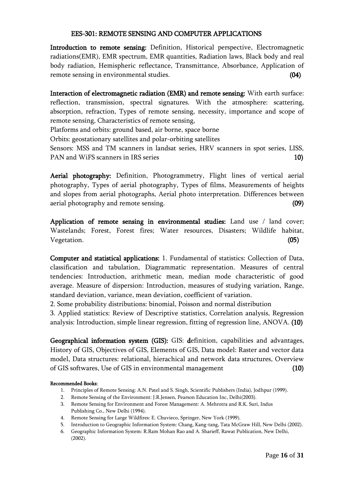#### EES-301: REMOTE SENSING AND COMPUTER APPLICATIONS

Introduction to remote sensing: Definition, Historical perspective, Electromagnetic radiations(EMR), EMR spectrum, EMR quantities, Radiation laws, Black body and real body radiation, Hemispheric reflectance, Transmittance, Absorbance, Application of remote sensing in environmental studies. (04)

Interaction of electromagnetic radiation (EMR) and remote sensing: With earth surface: reflection, transmission, spectral signatures. With the atmosphere: scattering, absorption, refraction, Types of remote sensing, necessity, importance and scope of remote sensing, Characteristics of remote sensing,

Platforms and orbits: ground based, air borne, space borne

Orbits: geostationary satellites and polar-orbiting satellites

Sensors: MSS and TM scanners in landsat series, HRV scanners in spot series, LISS, PAN and WiFS scanners in IRS series 10 and 10 and 10 and 10 and 10 and 10 and 10 and 10 and 10 and 10 and 10 and 10 and 10 and 10 and 10 and 10 and 10 and 10 and 10 and 10 and 10 and 10 and 10 and 10 and 10 and 10 and 10 a

Aerial photography: Definition, Photogrammetry, Flight lines of vertical aerial photography, Types of aerial photography, Types of films, Measurements of heights and slopes from aerial photographs, Aerial photo interpretation. Differences between aerial photography and remote sensing. (09)

Application of remote sensing in environmental studies: Land use / land cover; Wastelands; Forest, Forest fires; Water resources, Disasters; Wildlife habitat, Vegetation. (05)

Computer and statistical applications: 1. Fundamental of statistics: Collection of Data, classification and tabulation, Diagrammatic representation. Measures of central tendencies: Introduction, arithmetic mean, median mode characteristic of good average. Measure of dispersion: Introduction, measures of studying variation, Range, standard deviation, variance, mean deviation, coefficient of variation.

2. Some probability distributions: binomial, Poisson and normal distribution

3. Applied statistics: Review of Descriptive statistics, Correlation analysis, Regression analysis: Introduction, simple linear regression, fitting of regression line, ANOVA. (10)

Geographical information system (GIS): GIS: definition, capabilities and advantages, History of GIS, Objectives of GIS, Elements of GIS, Data model: Raster and vector data model, Data structures: relational, hierachical and network data structures, Overview of GIS softwares, Use of GIS in environmental management (10)

- 1. Principles of Remote Sensing: A.N. Patel and S. Singh, Scientific Publishers (India), Jodhpur (1999).
- 2. Remote Sensing of the Environment: J.R.Jensen, Pearson Education Inc, Delhi(2003).
- 3. Remote Sensing for Environment and Forest Management: A. Mehrotra and R.K. Suri, Indus Publishing Co., New Delhi (1994).
- 4. Remote Sensing for Large Wildfires: E. Chuvieco, Springer, New York (1999).
- 5. Introduction to Geographic Information System: Chang, Kang-tang, Tata McGraw Hill, New Delhi (2002).
- 6. Geographic Information System: R.Ram Mohan Rao and A. Sharieff, Rawat Publication, New Delhi, (2002).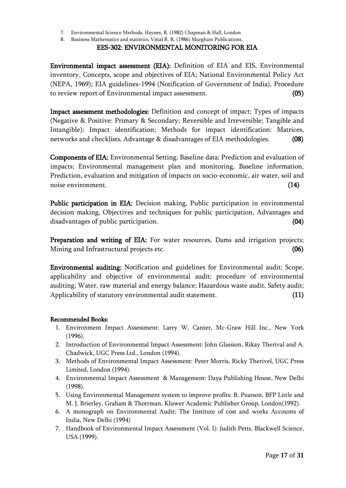- 7. Environmental Science Methods, Haynes, R. (1982) Chapman & Hall, London
- 8. Business Mathematics and statistics, Vittal R. R. (1986) Murgham Publications.

### EES-302: ENVIRONMENTAL MONITORING FOR EIA

Environmental impact assessment (EIA): Definition of EIA and EIS, Environmental inventory, Concepts, scope and objectives of EIA; National Environmental Policy Act (NEPA, 1969); EIA guidelines-1994 (Notification of Government of India), Procedure to review report of Environmental impact assessment. (05)

Impact assessment methodologies: Definition and concept of impact; Types of impacts (Negative & Positive: Primary & Secondary; Reversible and Irreversible; Tangible and Intangible); Impact identification; Methods for impact identification: Matrices, networks and checklists, Advantage & disadvantages of EIA methodologies. (08)

Components of EIA: Environmental Setting; Baseline data; Prediction and evaluation of impacts; Environmental management plan and monitoring, Baseline information, Prediction, evaluation and mitigation of impacts on socio-economic, air water, soil and noise environment. (14)

Public participation in EIA: Decision making, Public participation in environmental decision making, Objectives and techniques for public participation, Advantages and disadvantages of public participation. (04)

Preparation and writing of EIA: For water resources, Dams and irrigation projects; Mining and Infrastructural projects etc. (06)

Environmental auditing: Notification and guidelines for Environmental audit; Scope, applicability and objective of environmental audit; procedure of environmental auditing; Water, raw material and energy balance; Hazardous waste audit, Safety audit; Applicability of statutory environmental audit statement. (11)

- 1. Environment Impact Assessment: Larry W. Canter, Mc-Graw Hill Inc., New York (1996).
- 2. Introduction of Environmental Impact Assessment: John Glassion, Rikay Therival and A. Chadwick, UGC Press Ltd., London (1994).
- 3. Methods of Environmental Impact Assessment: Peter Morris, Ricky Therivel, UGC Press Limited, London (1994).
- 4. Environmental Impact Assessment & Management: Daya Publishing House, New Delhi (1998).
- 5. Using Environmental Management system to improve profits: B. Pearson, BFP Little and M. J. Brierley, Graham & Thotrman, Kluwer Academic Publisher Group, London(1992).
- 6. A monograph on Environmental Audit: The Institute of cost and works Accounts of India, New Delhi (1994)
- 7. Handbook of Environmental Impact Assessment (Vol. I): Judith Petts, Blackwell Science, USA (1999).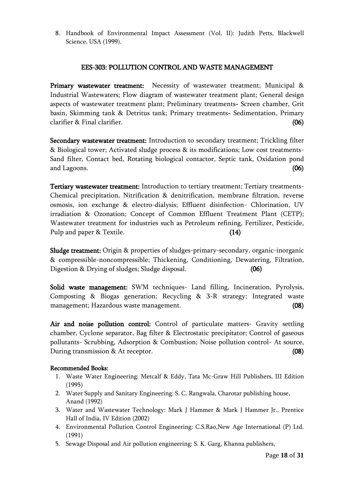8. Handbook of Environmental Impact Assessment (Vol. II): Judith Petts, Blackwell Science, USA (1999).

#### EES-303: POLLUTION CONTROL AND WASTE MANAGEMENT

Primary wastewater treatment: Necessity of wastewater treatment; Municipal & Industrial Wastewaters; Flow diagram of wastewater treatment plant; General design aspects of wastewater treatment plant; Preliminary treatments- Screen chamber, Grit basin, Skimming tank & Detritus tank; Primary treatments- Sedimentation, Primary clarifier & Final clarifier. (06)

Secondary wastewater treatment: Introduction to secondary treatment; Trickling filter & Biological tower; Activated sludge process & its modifications; Low cost treatments-Sand filter, Contact bed, Rotating biological contactor, Septic tank, Oxidation pond and Lagoons. (06)

Tertiary wastewater treatment: Introduction to tertiary treatment; Tertiary treatments-Chemical precipitation, Nitrification & denitrification, membrane filtration, reverse osmosis, ion exchange & electro-dialysis; Effluent disinfection- Chlorination, UV irradiation & Ozonation; Concept of Common Effluent Treatment Plant (CETP); Wastewater treatment for industries such as Petroleum refining, Fertilizer, Pesticide, Pulp and paper & Textile. (14)

Sludge treatment: Origin & properties of sludges-primary-secondary, organic-inorganic & compressible-noncompressible; Thickening, Conditioning, Dewatering, Filtration, Digestion & Drying of sludges; Sludge disposal. (06)

Solid waste management: SWM techniques- Land filling, Incineration, Pyrolysis, Composting & Biogas generation; Recycling & 3-R strategy; Integrated waste management; Hazardous waste management. (08)

Air and noise pollution control: Control of particulate matters- Gravity settling chamber, Cyclone separator, Bag filter & Electrostatic precipitator; Control of gaseous pollutants- Scrubbing, Adsorption & Combustion; Noise pollution control- At source, During transmission & At receptor. (08)

- 1. Waste Water Engineering: Metcalf & Eddy, Tata Mc-Graw Hill Publishers, III Edition (1995)
- 2. Water Supply and Sanitary Engineering: S. C. Rangwala, Charotar publishing house, Anand (1992)
- 3. Water and Wastewater Technology: Mark J Hammer & Mark J Hammer Jr., Prentice Hall of India, IV Edition (2002)
- 4. Environmental Pollution Control Engineering: C.S.Rao,New Age International (P) Ltd. (1991)
- 5. Sewage Disposal and Air pollution engineering: S. K. Garg, Khanna publishers,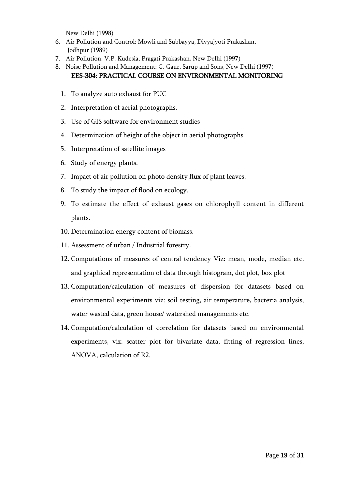New Delhi (1998)

- 6. Air Pollution and Control: Mowli and Subbayya, Divyajyoti Prakashan, Jodhpur (1989)
- 7. Air Pollution: V.P. Kudesia, Pragati Prakashan, New Delhi (1997)
- 8. Noise Pollution and Management: G. Gaur, Sarup and Sons, New Delhi (1997) EES-304: PRACTICAL COURSE ON ENVIRONMENTAL MONITORING
	- 1. To analyze auto exhaust for PUC
	- 2. Interpretation of aerial photographs.
	- 3. Use of GIS software for environment studies
	- 4. Determination of height of the object in aerial photographs
	- 5. Interpretation of satellite images
	- 6. Study of energy plants.
	- 7. Impact of air pollution on photo density flux of plant leaves.
	- 8. To study the impact of flood on ecology.
	- 9. To estimate the effect of exhaust gases on chlorophyll content in different plants.
	- 10. Determination energy content of biomass.
	- 11. Assessment of urban / Industrial forestry.
	- 12. Computations of measures of central tendency Viz: mean, mode, median etc. and graphical representation of data through histogram, dot plot, box plot
	- 13. Computation/calculation of measures of dispersion for datasets based on environmental experiments viz: soil testing, air temperature, bacteria analysis, water wasted data, green house/ watershed managements etc.
	- 14. Computation/calculation of correlation for datasets based on environmental experiments, viz: scatter plot for bivariate data, fitting of regression lines, ANOVA, calculation of R2.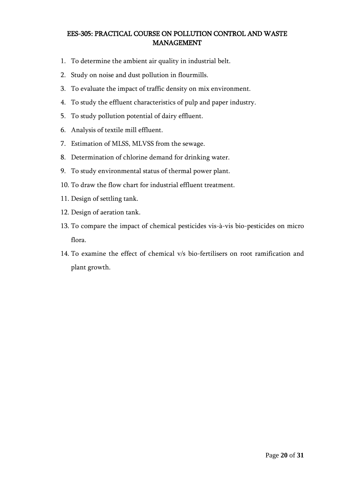### EES-305: PRACTICAL COURSE ON POLLUTION CONTROL AND WASTE MANAGEMENT

- 1. To determine the ambient air quality in industrial belt.
- 2. Study on noise and dust pollution in flourmills.
- 3. To evaluate the impact of traffic density on mix environment.
- 4. To study the effluent characteristics of pulp and paper industry.
- 5. To study pollution potential of dairy effluent.
- 6. Analysis of textile mill effluent.
- 7. Estimation of MLSS, MLVSS from the sewage.
- 8. Determination of chlorine demand for drinking water.
- 9. To study environmental status of thermal power plant.
- 10. To draw the flow chart for industrial effluent treatment.
- 11. Design of settling tank.
- 12. Design of aeration tank.
- 13. To compare the impact of chemical pesticides vis-à-vis bio-pesticides on micro flora.
- 14. To examine the effect of chemical v/s bio-fertilisers on root ramification and plant growth.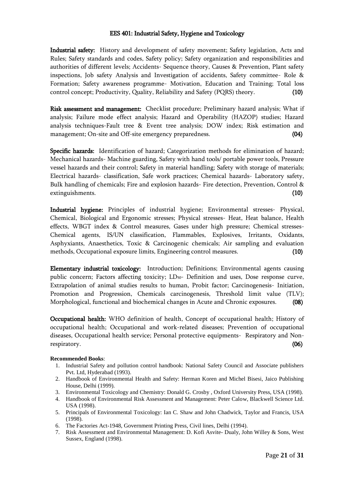#### EES 401: Industrial Safety, Hygiene and Toxicology

Industrial safety: History and development of safety movement; Safety legislation, Acts and Rules; Safety standards and codes, Safety policy; Safety organization and responsibilities and authorities of different levels; Accidents- Sequence theory, Causes & Prevention, Plant safety inspections, Job safety Analysis and Investigation of accidents, Safety committee- Role & Formation; Safety awareness programme- Motivation, Education and Training; Total loss control concept; Productivity, Quality, Reliability and Safety (PQRS) theory. (10)

Risk assessment and management: Checklist procedure; Preliminary hazard analysis; What if analysis; Failure mode effect analysis; Hazard and Operability (HAZOP) studies; Hazard analysis techniques-Fault tree & Event tree analysis; DOW index; Risk estimation and management; On-site and Off-site emergency preparedness. (04)

Specific hazards: Identification of hazard; Categorization methods for elimination of hazard; Mechanical hazards- Machine guarding, Safety with hand tools/ portable power tools, Pressure vessel hazards and their control; Safety in material handling; Safety with storage of materials; Electrical hazards- classification, Safe work practices; Chemical hazards- Laboratory safety, Bulk handling of chemicals; Fire and explosion hazards- Fire detection, Prevention, Control & extinguishments. (10)

Industrial hygiene: Principles of industrial hygiene; Environmental stresses- Physical, Chemical, Biological and Ergonomic stresses; Physical stresses- Heat, Heat balance, Health effects, WBGT index & Control measures, Gases under high pressure; Chemical stresses-Chemical agents, IS/UN classification, Flammables, Explosives, Irritants, Oxidants, Asphyxiants, Anaesthetics, Toxic & Carcinogenic chemicals; Air sampling and evaluation methods, Occupational exposure limits, Engineering control measures. (10)

Elementary industrial toxicology: Introduction; Definitions; Environmental agents causing public concern; Factors affecting toxicity; LD<sub>50</sub>- Definition and uses, Dose response curve, Extrapolation of animal studies results to human, Probit factor; Carcinogenesis- Initiation, Promotion and Progression, Chemicals carcinogenesis, Threshold limit value (TLV); Morphological, functional and biochemical changes in Acute and Chronic exposures. (08)

Occupational health: WHO definition of health, Concept of occupational health; History of occupational health; Occupational and work-related diseases; Prevention of occupational diseases, Occupational health service; Personal protective equipments- Respiratory and Nonrespiratory. (06)

- 1. Industrial Safety and pollution control handbook: National Safety Council and Associate publishers Pvt. Ltd, Hyderabad (1993).
- 2. Handbook of Environmental Health and Safety: Herman Koren and Michel Bisesi, Jaico Publishing House, Delhi (1999).
- 3. Environmental Toxicology and Chemistry: Donald G. Crosby , Oxford University Press, USA (1998).
- 4. Handbook of Environmental Risk Assessment and Management: Peter Calow, Blackwell Science Ltd. USA (1998).
- 5. Principals of Environmental Toxicology: Ian C. Shaw and John Chadwick, Taylor and Francis, USA (1998).
- 6. The Factories Act-1948, Government Printing Press, Civil lines, Delhi (1994).
- 7. Risk Assessment and Environmental Management: D. Kofi Asvite- Dualy, John Willey & Sons, West Sussex, England (1998).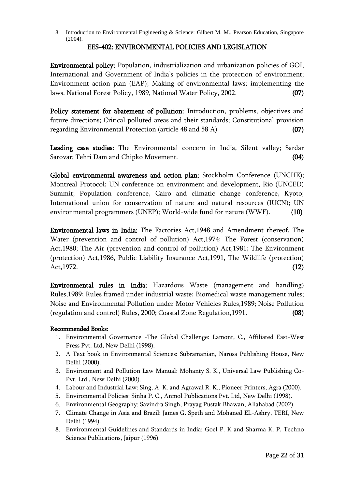8. Introduction to Environmental Engineering & Science: Gilbert M. M., Pearson Education, Singapore (2004).

#### EES-402: ENVIRONMENTAL POLICIES AND LEGISLATION

Environmental policy: Population, industrialization and urbanization policies of GOI, International and Government of India's policies in the protection of environment; Environment action plan (EAP); Making of environmental laws; implementing the laws. National Forest Policy, 1989, National Water Policy, 2002. **(07)** 

Policy statement for abatement of pollution: Introduction, problems, objectives and future directions; Critical polluted areas and their standards; Constitutional provision regarding Environmental Protection (article 48 and 58 A) (07)

Leading case studies: The Environmental concern in India, Silent valley; Sardar Sarovar; Tehri Dam and Chipko Movement. (04)

Global environmental awareness and action plan: Stockholm Conference (UNCHE); Montreal Protocol; UN conference on environment and development, Rio (UNCED) Summit; Population conference, Cairo and climatic change conference, Kyoto; International union for conservation of nature and natural resources (IUCN); UN environmental programmers (UNEP); World-wide fund for nature (WWF). (10)

Environmental laws in India: The Factories Act,1948 and Amendment thereof, The Water (prevention and control of pollution) Act,1974; The Forest (conservation) Act,1980; The Air (prevention and control of pollution) Act,1981; The Environment (protection) Act,1986, Public Liability Insurance Act,1991, The Wildlife (protection) Act, 1972.  $(12)$ 

Environmental rules in India: Hazardous Waste (management and handling) Rules,1989; Rules framed under industrial waste; Biomedical waste management rules; Noise and Environmental Pollution under Motor Vehicles Rules,1989; Noise Pollution (regulation and control) Rules, 2000; Coastal Zone Regulation,1991. (08)

- 1. Environmental Governance -The Global Challenge: Lamont, C., Affiliated East-West Press Pvt. Ltd, New Delhi (1998).
- 2. A Text book in Environmental Sciences: Subramanian, Narosa Publishing House, New Delhi (2000).
- 3. Environment and Pollution Law Manual: Mohanty S. K., Universal Law Publishing Co-Pvt. Ltd., New Delhi (2000).
- 4. Labour and Industrial Law: Sing, A, K. and Agrawal R. K., Pioneer Printers, Agra (2000).
- 5. Environmental Policies: Sinha P. C., Anmol Publications Pvt. Ltd, New Delhi (1998).
- 6. Environmental Geography: Savindra Singh, Prayag Pustak Bhawan, Allahabad (2002).
- 7. Climate Change in Asia and Brazil: James G. Speth and Mohaned EL-Ashry, TERI, New Delhi (1994).
- 8. Environmental Guidelines and Standards in India: Goel P. K and Sharma K. P, Techno Science Publications, Jaipur (1996).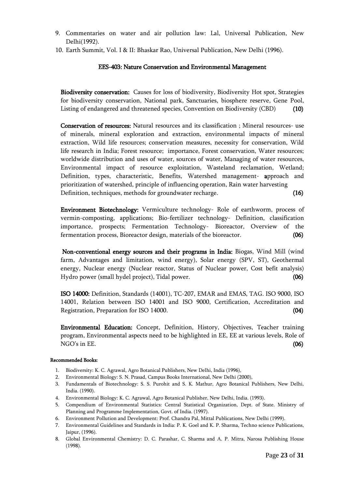- 9. Commentaries on water and air pollution law: Lal, Universal Publication, New Delhi(1992).
- 10. Earth Summit, Vol. I & II: Bhaskar Rao, Universal Publication, New Delhi (1996).

#### EES-403: Nature Conservation and Environmental Management

Biodiversity conservation: Causes for loss of biodiversity, Biodiversity Hot spot, Strategies for biodiversity conservation, National park, Sanctuaries, biosphere reserve, Gene Pool, Listing of endangered and threatened species, Convention on Biodiversity (CBD) (10)

Conservation of resources: Natural resources and its classification ; Mineral resources- use of minerals, mineral exploration and extraction, environmental impacts of mineral extraction, Wild life resources; conservation measures, necessity for conservation, Wild life research in India; Forest resource; importance, Forest conservation, Water resources; worldwide distribution and uses of water, sources of water, Managing of water resources, Environmental impact of resource exploitation, Wasteland reclamation, Wetland; Definition, types, characteristic, Benefits, Watershed management- approach and prioritization of watershed, principle of influencing operation, Rain water harvesting Definition, techniques, methods for groundwater recharge. (16)

Environment Biotechnology: Vermiculture technology- Role of earthworm, process of vermin-composting, applications; Bio-fertilizer technology- Definition, classification importance, prospects; Fermentation Technology- Bioreactor, Overview of the fermentation process, Bioreactor design, materials of the bioreactor. (06)

 Non-conventional energy sources and their programs in India: Biogas, Wind Mill (wind farm, Advantages and limitation, wind energy), Solar energy (SPV, ST), Geothermal energy, Nuclear energy (Nuclear reactor, Status of Nuclear power, Cost befit analysis) Hydro power (small hydel project), Tidal power. (06)

ISO 14000: Definition, Standards (14001), TC-207, EMAR and EMAS, TAG. ISO 9000, ISO 14001, Relation between ISO 14001 and ISO 9000, Certification, Accreditation and Registration, Preparation for ISO 14000. (04)

Environmental Education: Concept, Definition, History, Objectives, Teacher training program, Environmental aspects need to be highlighted in EE, EE at various levels, Role of  $NGO's$  in EE.  $(06)$ 

- 1. Biodiversity: K. C. Agrawal, Agro Botanical Publishers, New Delhi, India (1996),
- 2. Environmental Biology: S. N. Prasad, Campus Books International, New Delhi (2000),
- 3. Fundamentals of Biotechnology: S. S. Purohit and S. K. Mathur, Agro Botanical Publishers, New Delhi, India. (1990).
- 4. Environmental Biology: K. C. Agrawal, Agro Botanical Publisher, New Delhi, India. (1993).
- 5. Compendium of Environmental Statistics: Central Statistical Organization, Dept. of State. Ministry of Planning and Programme Implementation, Govt. of India. (1997).
- 6. Environment Pollution and Development: Prof. Chandra Pal, Mittal Publications, New Delhi (1999).
- 7. Environmental Guidelines and Standards in India: P. K. Goel and K. P. Sharma, Techno science Publications, Jaipur, (1996).
- 8. Global Environmental Chemistry: D. C. Parashar, C. Sharma and A. P. Mitra, Narosa Publishing House (1998).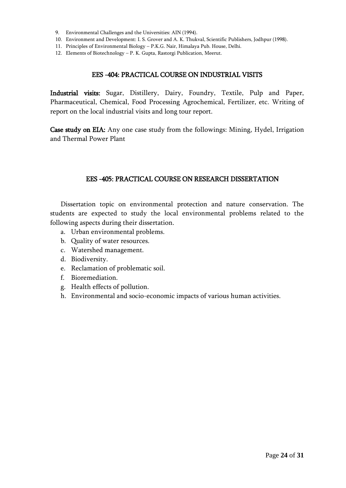- 9. Environmental Challenges and the Universities: AIN (1994).
- 10. Environment and Development: I. S. Grover and A. K. Thukval, Scientific Publishers, Jodhpur (1998).
- 11. Principles of Environmental Biology P.K.G. Nair, Himalaya Pub. House, Delhi.
- 12. Elements of Biotechnology P. K. Gupta, Rastorgi Publication, Meerut.

#### EES -404: PRACTICAL COURSE ON INDUSTRIAL VISITS

Industrial visits: Sugar, Distillery, Dairy, Foundry, Textile, Pulp and Paper, Pharmaceutical, Chemical, Food Processing Agrochemical, Fertilizer, etc. Writing of report on the local industrial visits and long tour report.

Case study on EIA: Any one case study from the followings: Mining, Hydel, Irrigation and Thermal Power Plant

#### EES -405: PRACTICAL COURSE ON RESEARCH DISSERTATION

Dissertation topic on environmental protection and nature conservation. The students are expected to study the local environmental problems related to the following aspects during their dissertation.

- a. Urban environmental problems.
- b. Quality of water resources.
- c. Watershed management.
- d. Biodiversity.
- e. Reclamation of problematic soil.
- f. Bioremediation.
- g. Health effects of pollution.
- h. Environmental and socio-economic impacts of various human activities.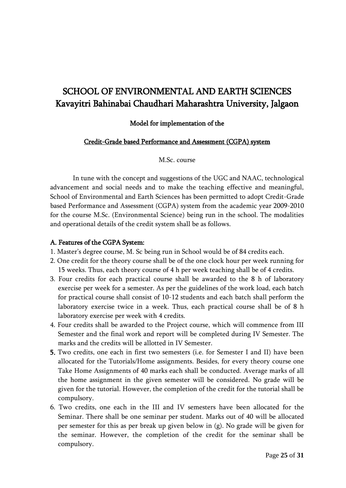## SCHOOL OF ENVIRONMENTAL AND EARTH SCIENCES Kavayitri Bahinabai Chaudhari Maharashtra University, Jalgaon

#### Model for implementation of the

#### Credit-Grade based Performance and Assessment (CGPA) system

M.Sc. course

In tune with the concept and suggestions of the UGC and NAAC, technological advancement and social needs and to make the teaching effective and meaningful, School of Environmental and Earth Sciences has been permitted to adopt Credit-Grade based Performance and Assessment (CGPA) system from the academic year 2009-2010 for the course M.Sc. (Environmental Science) being run in the school. The modalities and operational details of the credit system shall be as follows.

#### A. Features of the CGPA System:

- 1. Master's degree course, M. Sc being run in School would be of 84 credits each.
- 2. One credit for the theory course shall be of the one clock hour per week running for 15 weeks. Thus, each theory course of 4 h per week teaching shall be of 4 credits.
- 3. Four credits for each practical course shall be awarded to the 8 h of laboratory exercise per week for a semester. As per the guidelines of the work load, each batch for practical course shall consist of 10-12 students and each batch shall perform the laboratory exercise twice in a week. Thus, each practical course shall be of 8 h laboratory exercise per week with 4 credits.
- 4. Four credits shall be awarded to the Project course, which will commence from III Semester and the final work and report will be completed during IV Semester. The marks and the credits will be allotted in IV Semester.
- 5. Two credits, one each in first two semesters (i.e. for Semester I and II) have been allocated for the Tutorials/Home assignments. Besides, for every theory course one Take Home Assignments of 40 marks each shall be conducted. Average marks of all the home assignment in the given semester will be considered. No grade will be given for the tutorial. However, the completion of the credit for the tutorial shall be compulsory.
- 6. Two credits, one each in the III and IV semesters have been allocated for the Seminar. There shall be one seminar per student. Marks out of 40 will be allocated per semester for this as per break up given below in (g). No grade will be given for the seminar. However, the completion of the credit for the seminar shall be compulsory.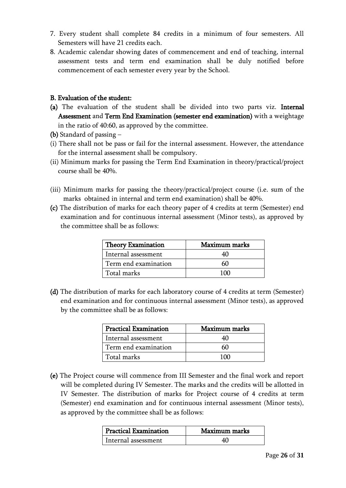- 7. Every student shall complete 84 credits in a minimum of four semesters. All Semesters will have 21 credits each.
- 8. Academic calendar showing dates of commencement and end of teaching, internal assessment tests and term end examination shall be duly notified before commencement of each semester every year by the School.

#### B. Evaluation of the student:

- (a) The evaluation of the student shall be divided into two parts viz. Internal Assessment and Term End Examination (semester end examination) with a weightage in the ratio of 40:60, as approved by the committee.
- (b) Standard of passing –
- (i) There shall not be pass or fail for the internal assessment. However, the attendance for the internal assessment shall be compulsory.
- (ii) Minimum marks for passing the Term End Examination in theory/practical/project course shall be 40%.
- (iii) Minimum marks for passing the theory/practical/project course (i.e. sum of the marks obtained in internal and term end examination) shall be 40%.
- (c) The distribution of marks for each theory paper of 4 credits at term (Semester) end examination and for continuous internal assessment (Minor tests), as approved by the committee shall be as follows:

| <b>Theory Examination</b> | Maximum marks |  |  |
|---------------------------|---------------|--|--|
| Internal assessment       |               |  |  |
| Term end examination      |               |  |  |
| Total marks               |               |  |  |

(d) The distribution of marks for each laboratory course of 4 credits at term (Semester) end examination and for continuous internal assessment (Minor tests), as approved by the committee shall be as follows:

| <b>Practical Examination</b> | Maximum marks |
|------------------------------|---------------|
| Internal assessment          |               |
| Term end examination         |               |
| Total marks                  | 1 A K         |

(e) The Project course will commence from III Semester and the final work and report will be completed during IV Semester. The marks and the credits will be allotted in IV Semester. The distribution of marks for Project course of 4 credits at term (Semester) end examination and for continuous internal assessment (Minor tests), as approved by the committee shall be as follows:

| Practical Examination | Maximum marks |
|-----------------------|---------------|
| Internal assessment   |               |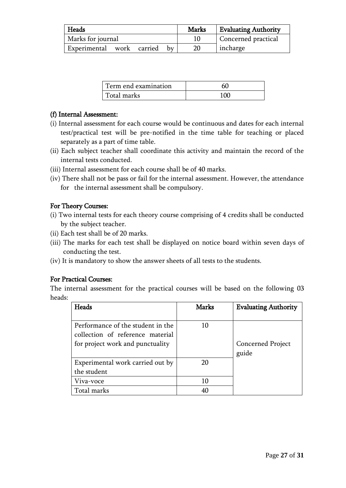| Heads                     |  |    | Marks | <b>Evaluating Authority</b> |
|---------------------------|--|----|-------|-----------------------------|
| Marks for journal         |  |    |       | Concerned practical         |
| Experimental work carried |  | hv |       | incharge                    |

| Term end examination |     |
|----------------------|-----|
| Total marks          | 100 |

## (f) Internal Assessment:

- (i) Internal assessment for each course would be continuous and dates for each internal test/practical test will be pre-notified in the time table for teaching or placed separately as a part of time table.
- (ii) Each subject teacher shall coordinate this activity and maintain the record of the internal tests conducted.
- (iii) Internal assessment for each course shall be of 40 marks.
- (iv) There shall not be pass or fail for the internal assessment. However, the attendance for the internal assessment shall be compulsory.

### For Theory Courses:

- (i) Two internal tests for each theory course comprising of 4 credits shall be conducted by the subject teacher.
- (ii) Each test shall be of 20 marks.
- (iii) The marks for each test shall be displayed on notice board within seven days of conducting the test.
- (iv) It is mandatory to show the answer sheets of all tests to the students.

#### For Practical Courses:

The internal assessment for the practical courses will be based on the following 03 heads:

| <b>Heads</b>                      | <b>Marks</b> | <b>Evaluating Authority</b> |
|-----------------------------------|--------------|-----------------------------|
|                                   |              |                             |
| Performance of the student in the | 10           |                             |
| collection of reference material  |              |                             |
| for project work and punctuality  |              | Concerned Project           |
|                                   |              | guide                       |
| Experimental work carried out by  | 20           |                             |
| the student                       |              |                             |
| Viva-voce                         | 10           |                             |
| Total marks                       | 40           |                             |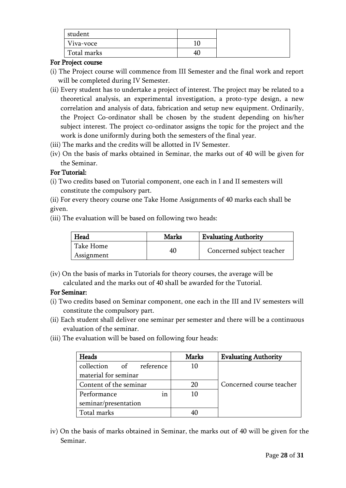| student     |    |
|-------------|----|
| Viva-voce   |    |
| Total marks | 40 |

### For Project course

- (i) The Project course will commence from III Semester and the final work and report will be completed during IV Semester.
- (ii) Every student has to undertake a project of interest. The project may be related to a theoretical analysis, an experimental investigation, a proto-type design, a new correlation and analysis of data, fabrication and setup new equipment. Ordinarily, the Project Co-ordinator shall be chosen by the student depending on his/her subject interest. The project co-ordinator assigns the topic for the project and the work is done uniformly during both the semesters of the final year.
- (iii) The marks and the credits will be allotted in IV Semester.
- (iv) On the basis of marks obtained in Seminar, the marks out of 40 will be given for the Seminar.

## For Tutorial:

- (i) Two credits based on Tutorial component, one each in I and II semesters will constitute the compulsory part.
- (ii) For every theory course one Take Home Assignments of 40 marks each shall be given.
- (iii) The evaluation will be based on following two heads:

| Head       | <b>Marks</b> | <b>Evaluating Authority</b> |  |
|------------|--------------|-----------------------------|--|
| Take Home  | 40           |                             |  |
| Assignment |              | Concerned subject teacher   |  |

(iv) On the basis of marks in Tutorials for theory courses, the average will be calculated and the marks out of 40 shall be awarded for the Tutorial.

## For Seminar:

- (i) Two credits based on Seminar component, one each in the III and IV semesters will constitute the compulsory part.
- (ii) Each student shall deliver one seminar per semester and there will be a continuous evaluation of the seminar.
- (iii) The evaluation will be based on following four heads:

| Heads                   | <b>Marks</b> | <b>Evaluating Authority</b> |
|-------------------------|--------------|-----------------------------|
| collection of reference | 10           |                             |
| material for seminar    |              |                             |
| Content of the seminar  | 20           | Concerned course teacher    |
| Performance<br>ın       | 10           |                             |
| seminar/presentation    |              |                             |
| Total marks             |              |                             |

iv) On the basis of marks obtained in Seminar, the marks out of 40 will be given for the Seminar.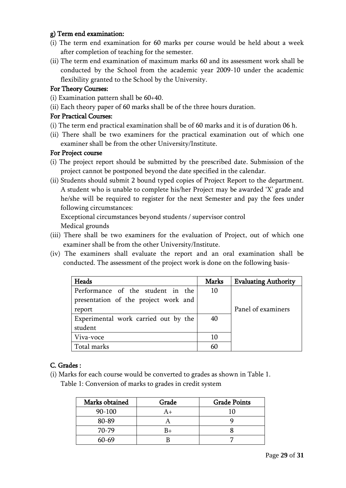### g) Term end examination:

- (i) The term end examination for 60 marks per course would be held about a week after completion of teaching for the semester.
- (ii) The term end examination of maximum marks 60 and its assessment work shall be conducted by the School from the academic year 2009-10 under the academic flexibility granted to the School by the University.

## For Theory Courses:

- (i) Examination pattern shall be 60+40.
- (ii) Each theory paper of 60 marks shall be of the three hours duration.

## For Practical Courses:

- (i) The term end practical examination shall be of 60 marks and it is of duration 06 h.
- (ii) There shall be two examiners for the practical examination out of which one examiner shall be from the other University/Institute.

### For Project course

- (i) The project report should be submitted by the prescribed date. Submission of the project cannot be postponed beyond the date specified in the calendar.
- (ii) Students should submit 2 bound typed copies of Project Report to the department. A student who is unable to complete his/her Project may be awarded 'X' grade and he/she will be required to register for the next Semester and pay the fees under following circumstances:

Exceptional circumstances beyond students / supervisor control

Medical grounds

- (iii) There shall be two examiners for the evaluation of Project, out of which one examiner shall be from the other University/Institute.
- (iv) The examiners shall evaluate the report and an oral examination shall be conducted. The assessment of the project work is done on the following basis-

| <b>Heads</b>                         | <b>Marks</b> | <b>Evaluating Authority</b> |
|--------------------------------------|--------------|-----------------------------|
| Performance of the student in the    | 10           |                             |
| presentation of the project work and |              |                             |
| report                               |              | Panel of examiners          |
| Experimental work carried out by the | 40           |                             |
| student                              |              |                             |
| Viva-voce                            | 10           |                             |
| Total marks                          | 60           |                             |

## C. Grades :

(i) Marks for each course would be converted to grades as shown in Table 1.

Table 1: Conversion of marks to grades in credit system

| Marks obtained | Grade | <b>Grade Points</b> |
|----------------|-------|---------------------|
| $90 - 100$     | A+    |                     |
| 80-89          |       |                     |
| 70-79          | $B+$  |                     |
| $60 - 69$      |       |                     |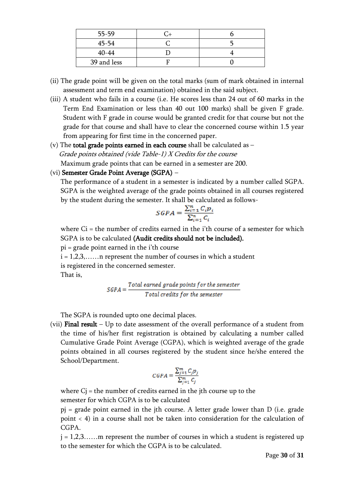| $55 - 59$   |  |
|-------------|--|
| $45 - 54$   |  |
| $40 - 44$   |  |
| 39 and less |  |

- (ii) The grade point will be given on the total marks (sum of mark obtained in internal assessment and term end examination) obtained in the said subject.
- (iii) A student who fails in a course (i.e. He scores less than 24 out of 60 marks in the Term End Examination or less than 40 out 100 marks) shall be given F grade. Student with F grade in course would be granted credit for that course but not the grade for that course and shall have to clear the concerned course within 1.5 year from appearing for first time in the concerned paper.
- (v) The total grade points earned in each course shall be calculated as  $-$  Grade points obtained (vide Table-1) X Credits for the course Maximum grade points that can be earned in a semester are 200.

#### (vi) Semester Grade Point Average (SGPA) –

The performance of a student in a semester is indicated by a number called SGPA. SGPA is the weighted average of the grade points obtained in all courses registered by the student during the semester. It shall be calculated as follows-

$$
SGPA = \frac{\sum_{i=1}^{n} C_i p_i}{\sum_{i=1}^{n} C_i}
$$

where  $Ci =$  the number of credits earned in the i'th course of a semester for which SGPA is to be calculated (Audit credits should not be included).

pi = grade point earned in the i'th course

 $i = 1, 2, 3, \ldots$  represent the number of courses in which a student is registered in the concerned semester.

That is,

$$
SGPA = \frac{Total\ earned\ grade\ points\ for\ the\ semester}{Total\ credits\ for\ the\ semester}
$$

The SGPA is rounded upto one decimal places.

(vii) Final result – Up to date assessment of the overall performance of a student from the time of his/her first registration is obtained by calculating a number called Cumulative Grade Point Average (CGPA), which is weighted average of the grade points obtained in all courses registered by the student since he/she entered the School/Department.

$$
CGPA = \frac{\sum_{j=1}^{m} C_j p_j}{\sum_{j=1}^{m} C_j}
$$

where  $Cj$  = the number of credits earned in the jth course up to the semester for which CGPA is to be calculated

pj = grade point earned in the jth course. A letter grade lower than D (i.e. grade point < 4) in a course shall not be taken into consideration for the calculation of CGPA.

 $j = 1, 2, 3, \ldots$  m represent the number of courses in which a student is registered up to the semester for which the CGPA is to be calculated.